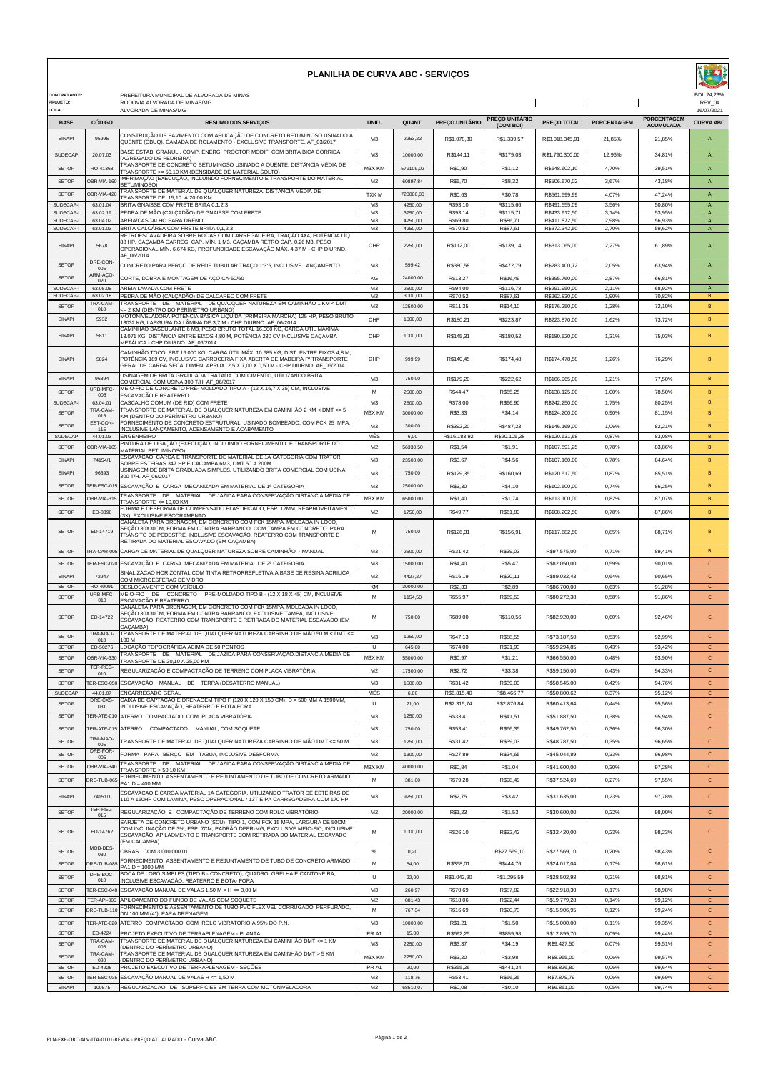| <b>PLANILHA DE CURVA ABC - SERVIÇOS</b>         |                            |                                                                                                                                                                                                                                                                  |                                  |                     |                         |                                    |                                |                    |                                        | BDI: 24.23%                         |  |
|-------------------------------------------------|----------------------------|------------------------------------------------------------------------------------------------------------------------------------------------------------------------------------------------------------------------------------------------------------------|----------------------------------|---------------------|-------------------------|------------------------------------|--------------------------------|--------------------|----------------------------------------|-------------------------------------|--|
| <b>CONTRATANTE:</b><br><b>PROJETO</b><br>LOCAL: |                            | PREFEITURA MUNICIPAL DE ALVORADA DE MINAS<br>RODOVIA ALVORADA DE MINAS/MG<br>ALVORADA DE MINAS/MG                                                                                                                                                                |                                  |                     |                         |                                    |                                |                    |                                        |                                     |  |
| <b>BASE</b>                                     | CÓDIGO                     | <b>RESUMO DOS SERVIÇOS</b>                                                                                                                                                                                                                                       | <b>UNID</b>                      | <b>QUANT.</b>       | PREÇO UNITÁRIO          | <b>PREÇO UNITÁRIO</b><br>(COM BDI) | PREÇO TOTAL                    | <b>PORCENTAGEM</b> | <b>PORCENTAGEM</b><br><b>ACUMULADA</b> | 16/07/2021<br><b>CURVA ABC</b>      |  |
| SINAPI                                          | 95995                      | CONSTRUÇÃO DE PAVIMENTO COM APLICAÇÃO DE CONCRETO BETUMINOSO USINADO A                                                                                                                                                                                           | M3                               | 2253.22             | R\$1.078,30             | R\$1.339,57                        | R\$3.018.345,91                | 21,85%             | 21,85%                                 | $\overline{A}$                      |  |
| <b>SUDECAP</b>                                  | 20.07.03                   | QUENTE (CBUQ), CAMADA DE ROLAMENTO - EXCLUSIVE TRANSPORTE. AF_03/2017<br>BASE ESTAB. GRANUL., COMP. ENERG. PROCTOR MODIF. COM BRITA BICA CORRIDA                                                                                                                 | M <sub>3</sub>                   | 10000.00            | R\$144,11               | R\$179.03                          | R\$1,790,300.00                | 12.96%             | 34,81%                                 | $\overline{A}$                      |  |
| <b>SETOP</b>                                    | RO-41368                   | AGREGADO DE PEDREIRA)<br>TRANSPORTE DE CONCRETO BETUMINOSO USINADO A QUENTE. DISTÃNCIA MÉDIA DE                                                                                                                                                                  | M3X KM                           | 579109.02           | R\$0,90                 | R\$1.12                            | R\$648,602.10                  | 4,70%              | 39,51%                                 | $\overline{A}$                      |  |
| <b>SETOP</b>                                    | OBR-VIA-160                | FRANSPORTE >= 50,10 KM (DENSIDADE DE MATERIAL SOLTO)<br>IMPRIMAÇÃO (EXECUÇÃO, INCLUINDO FORNECIMENTO E TRANSPORTE DO MATERIAL                                                                                                                                    | M2                               | 60897.84            | R\$6,70                 | R\$8,32                            | R\$506.670,02                  | 3,67%              | 43.18%                                 | $\overline{A}$                      |  |
| <b>SETOP</b>                                    | OBR-VIA-420                | <b>BETUMINOSO)</b><br>TRANSPORTE DE MATERIAL DE QUALQUER NATUREZA. DISTÂNCIA MÉDIA DE<br>TRANSPORTE DE 15,10 A 20,00 KM                                                                                                                                          | TXK M                            | 720000.00           | R\$0,63                 | R\$0,78                            | R\$561.599,99                  | 4,07%              | 47,24%                                 | $\overline{A}$                      |  |
| SUDECAP-I<br>SUDECAP-I                          | 63.01.04<br>63.02.19       | BRITA GNAISSE COM FRETE BRITA 0,1,2,3<br>PEDRA DE MÃO (CALÇADÃO) DE GNAISSE COM FRETE                                                                                                                                                                            | M3<br>M3                         | 4250,00<br>3750,00  | R\$93,10<br>R\$93,14    | R\$115,66<br>R\$115,71             | R\$491.555,09<br>R\$433.912,50 | 3,56%<br>3,14%     | 50.80%<br>53,95%                       | A<br>$\mathsf A$                    |  |
| SUDECAP-I                                       | 63.04.02                   | AREIA/CASCALHO PARA DRENO                                                                                                                                                                                                                                        | M <sub>3</sub>                   | 4750,00             | R\$69,80                | R\$86,71                           | R\$411.872,50                  | 2,98%              | 56,93%                                 | $\mathsf{A}$                        |  |
| SUDECAP-I                                       | 63.01.03                   | BRITA CALCÁREA COM FRETE BRITA 0,1,2,3<br>RETROESCAVADEIRA SOBRE RODAS COM CARREGADEIRA, TRAÇÃO 4X4, POTÊNCIA LÍQ.<br>88 HP. CACAMBA CARREG. CAP. MÍN. 1 M3. CACAMBA RETRO CAP. 0.26 M3. PESO                                                                    | M3                               | 4250,00             | R\$70,52                | R\$87,61                           | R\$372.342,50                  | 2,70%              | 59,62%                                 | $\mathsf{A}$                        |  |
| SINAPI                                          | 5678                       | OPERACIONAL MÍN. 6.674 KG, PROFUNDIDADE ESCAVAÇÃO MÁX. 4,37 M - CHP DIURNO.<br>AF_06/2014                                                                                                                                                                        | CHP                              | 2250,00             | R\$112,00               | R\$139,14                          | R\$313.065,00                  | 2,27%              | 61,89%                                 | A                                   |  |
| <b>SETOP</b>                                    | DRE-CON-<br>005<br>ARM-ACO | CONCRETO PARA BERÇO DE REDE TUBULAR TRAÇO 1:3:6, INCLUSIVE LANÇAMENTO                                                                                                                                                                                            | M <sub>3</sub>                   | 599.42              | R\$380,58               | R\$472,79                          | R\$283.400,72                  | 2.05%              | 63.94%                                 | $\overline{A}$                      |  |
| <b>SETOP</b><br>SUDECAP-I                       | 020<br>63.05.05            | CORTE, DOBRA E MONTAGEM DE AÇO CA-50/60<br>AREIA LAVADA COM FRETE                                                                                                                                                                                                | KG<br>M <sub>3</sub>             | 24000.00<br>2500,00 | R\$13,27<br>R\$94,00    | R\$16.49<br>R\$116,78              | R\$395.760,00<br>R\$291.950,00 | 2.87%<br>2,11%     | 66.81%<br>68,92%                       | $\overline{A}$<br>A                 |  |
| SUDECAP-I                                       | 63.02.18                   | PEDRA DE MÃO (CALÇADÃO) DE CALCAREO COM FRETE                                                                                                                                                                                                                    | M3                               | 3000.00             | R\$70,52                | R\$87,61                           | R\$262.830,00                  | 1,90%              | 70,82%                                 | B                                   |  |
| <b>SETOP</b>                                    | TRA-CAM-<br>010            | TRANSPORTE DE MATERIAL DE QUALQUER NATUREZA EM CAMINHÃO 1 KM < DMT<br>∈ 2 KM (DENTRO DO PERÍMETRO URBANO)<br>MOTONIVELADORA POTÊNCIA BÁSICA LÍQUIDA (PRIMEIRA MARCHA) 125 HP, PESO BRUTO                                                                         | M <sub>3</sub>                   | 12500,00            | R\$11,35                | R\$14,10                           | R\$176.250,00                  | 1,28%              | 72,10%                                 | B                                   |  |
| SINAPI                                          | 5932                       | 3032 KG, LARGURA DA LÂMINA DE 3,7 M - CHP DIURNO. AF_06/2014<br>CAMINHÃO BASCULANTE 6 M3, PESO BRUTO TOTAL 16.000 KG, CARGA ÚTIL MÁXIMA                                                                                                                          | CHP                              | 1000,00             | R\$180,21               | R\$223,87                          | R\$223.870,00                  | 1,62%              | 73,72%                                 | B                                   |  |
| SINAPI                                          | 5811                       | 13.071 KG, DISTÂNCIA ENTRE EIXOS 4,80 M, POTÊNCIA 230 CV INCLUSIVE CAÇAMBA<br>METÁLICA - CHP DIURNO. AF_06/2014                                                                                                                                                  | CHP                              | 1000.00             | R\$145,31               | R\$180,52                          | R\$180,520.00                  | 1,31%              | 75,03%                                 | B                                   |  |
| SINAPI                                          | 5824                       | CAMINHÃO TOCO, PBT 16.000 KG, CARGA ÚTIL MÁX. 10.685 KG, DIST. ENTRE EIXOS 4,8 M,<br>POTÊNCIA 189 CV, INCLUSIVE CARROCERIA FIXA ABERTA DE MADEIRA P/ TRANSPORTE<br>GERAL DE CARGA SECA, DIMEN. APROX. 2,5 X 7,00 X 0,50 M - CHP DIURNO. AF_06/2014               | CHP                              | 999,99              | R\$140,45               | R\$174,48                          | R\$174.478,58                  | 1,26%              | 76.29%                                 | B                                   |  |
| SINAPI                                          | 96394                      | USINAGEM DE BRITA GRADUADA TRATADA COM CIMENTO, UTILIZANDO BRITA                                                                                                                                                                                                 | M <sub>3</sub>                   | 750,00              | R\$179,20               | R\$222,62                          | R\$166.965,00                  | 1,21%              | 77,50%                                 | B                                   |  |
| <b>SETOP</b>                                    | URB-MFC                    | COMERCIAL COM USINA 300 T/H. AF_06/2017<br>MEIO-FIO DE CONCRETO PRÉ- MOLDADO TIPO A - (12 X 16,7 X 35) CM, INCLUSIVE                                                                                                                                             | M                                | 2500,00             | R\$44,47                | R\$55,25                           | R\$138.125,00                  | 1,00%              | 78,50%                                 | B                                   |  |
| SUDECAP-I                                       | 005<br>63.04.01            | ESCAVAÇÃO E REATERRO<br>CASCALHO COMUM (DE RIO) COM FRETE                                                                                                                                                                                                        | M <sub>3</sub>                   | 2500,00             | R\$78,00                | R\$96,90                           | R\$242.250,00                  | 1,75%              | 80,25%                                 | B                                   |  |
| <b>SETOP</b>                                    | TRA-CAM-<br>015            | TRANSPORTE DE MATERIAL DE QUALQUER NATUREZA EM CAMINHÃO 2 KM < DMT <= 5<br>KM (DENTRO DO PERÍMETRO URBANO)                                                                                                                                                       | M3X KM                           | 30000,00            | R\$3,33                 | R\$4,14                            | R\$124.200,00                  | 0,90%              | 81,15%                                 | B                                   |  |
| <b>SETOP</b>                                    | EST-CON-<br>115            | FORNECIMENTO DE CONCRETO ESTRUTURAL, USINADO BOMBEADO, COM FCK 25 MPA,<br>NCLUSIVE LANÇAMENTO, ADENSAMENTO E ACABAMENTO                                                                                                                                          | M <sub>3</sub>                   | 300,00              | R\$392,20               | R\$487,23                          | R\$146.169,00                  | 1,06%              | 82.21%                                 | B                                   |  |
| SUDECAP<br><b>SETOP</b>                         | 44.01.03<br>OBR-VIA-165    | <b>ENGENHEIRO</b><br>PINTURA DE LIGAÇÃO (EXECUÇÃO, INCLUINDO FORNECIMENTO E TRANSPORTE DO                                                                                                                                                                        | MÊS<br>M <sub>2</sub>            | 6,00<br>56330.50    | R\$16.183,92<br>R\$1.54 | R\$20.105,28<br>R\$1.91            | R\$120.631,68<br>R\$107.591.25 | 0,87%<br>0.78%     | 83,08%<br>83.86%                       | B<br>B                              |  |
| SINAPI                                          | 74154/1                    | MATERIAL BETUMINOSO)<br>ESCAVACAO, CARGA E TRANSPORTE DE MATERIAL DE 1A CATEGORIA COM TRATOR<br>SOBRE ESTEIRAS 347 HP E CACAMBA 6M3, DMT 50 A 200M                                                                                                               | M <sub>3</sub>                   | 23500.00            | R\$3,67                 | R\$4,56                            | R\$107.160.00                  | 0.78%              | 84.64%                                 | B                                   |  |
| SINAPI                                          | 96393                      | USINAGEM DE BRITA GRADUADA SIMPLES, UTILIZANDO BRITA COMERCIAL COM USINA<br>300 T/H. AF_06/2017                                                                                                                                                                  | M <sub>3</sub>                   | 750.00              | R\$129,35               | R\$160,69                          | R\$120.517,50                  | 0,87%              | 85,51%                                 | B                                   |  |
| <b>SETOP</b>                                    | FER-ESC-015                | ESCAVAÇÃO E CARGA MECANIZADA EM MATERIAL DE 1ª CATEGORIA                                                                                                                                                                                                         | M <sub>3</sub>                   | 25000.00            | R\$3.30                 | R\$4,10                            | R\$102.500,00                  | 0.74%              | 86.25%                                 | B                                   |  |
| <b>SETOP</b>                                    | OBR-VIA-315                | TRANSPORTE DE MATERIAL DE JAZIDA PARA CONSERVAÇÃO.DISTÂNCIA MÉDIA DE<br>$TRANSPORTE \leq 10.00 KM$                                                                                                                                                               | M3X KM                           | 65000.00            | R\$1,40                 | R\$1,74                            | R\$113.100,00                  | 0,82%              | 87,07%                                 | B                                   |  |
| <b>SETOP</b>                                    | FD-8398                    | FORMA E DESFORMA DE COMPENSADO PLASTIFICADO, ESP. 12MM, REAPROVEITAMENTO<br>3X), EXCLUSIVE ESCORAMENTO                                                                                                                                                           | M <sub>2</sub>                   | 1750,00             | R\$49.77                | R\$61,83                           | R\$108,202.50                  | 0.78%              | 87.86%                                 | B                                   |  |
| <b>SETOP</b>                                    | ED-14719                   | CANALETA PARA DRENAGEM, EM CONCRETO COM FCK 15MPA, MOLDADA IN LOCO,<br>SECÃO 30X30CM, FORMA EM CONTRA BARRANCO, COM TAMPA EM CONCRETO PARA<br>TRÂNSITO DE PEDESTRE, INCLUSIVE ESCAVAÇÃO, REATERRO COM TRANSPORTE E<br>RETIRADA DO MATERIAL ESCAVADO (EM CAÇAMBA) | M                                | 750,00              | R\$126,31               | R\$156,91                          | R\$117.682,50                  | 0,85%              | 88.71%                                 | B                                   |  |
| <b>SETOP</b>                                    | TRA-CAR-005                | CARGA DE MATERIAL DE QUALQUER NATUREZA SOBRE CAMINHÃO - MANUAL                                                                                                                                                                                                   | M <sub>3</sub>                   | 2500.00             | R\$31,42                | R\$39.03                           | R\$97.575,00                   | 0.71%              | 89.41%                                 | B                                   |  |
| SETOP                                           | TER-ESC-020                | ESCAVAÇÃO E CARGA MECANIZADA EM MATERIAL DE 2ª CATEGORIA                                                                                                                                                                                                         | M <sub>3</sub>                   | 15000.00            | R\$4,40                 | R\$5.47                            | R\$82,050.00                   | 0.59%              | 90.01%                                 | $\mathsf{C}$                        |  |
| SINAPI                                          | 72947                      | SINALIZACAO HORIZONTAL COM TINTA RETRORREFLETIVA A BASE DE RESINA ACRILICA<br>COM MICROESFERAS DE VIDRO                                                                                                                                                          | M <sub>2</sub>                   | 4427.27             | R\$16,19                | R\$20,11                           | R\$89.032,43                   | 0,64%              | 90,65%                                 | $\mathsf{C}$                        |  |
| SETOP<br><b>SETOP</b>                           | RO-40091<br>URB-MFC-       | DESLOCAMENTO COM VEÍCULO<br>MEIO-FIO DE CONCRETO PRÉ-MOLDADO TIPO B - (12 X 18 X 45) CM, INCLUSIVE                                                                                                                                                               | KM<br>M                          | 30000,00<br>1154,50 | R\$2,33<br>R\$55,97     | R\$2,89<br>R\$69,53                | R\$86.700,00<br>R\$80.272,38   | 0,63%<br>0,58%     | 91,28%<br>91.86%                       | c<br>C                              |  |
| <b>SETOP</b>                                    | 010<br>ED-14722            | ESCAVAÇÃO E REATERRO<br>CANALETA PARA DRENAGEM, EM CONCRETO COM FCK 15MPA, MOLDADA IN LOCO.<br>SEÇÃO 30X30CM, FORMA EM CONTRA BARRANCO, EXCLUSIVE TAMPA, INCLUSIVE<br>ESCAVAÇÃO, REATERRO COM TRANSPORTE E RETIRADA DO MATERIAL ESCAVADO (EM                     | м                                | 750.00              | R\$89.00                | R\$110.56                          | R\$82,920.00                   | 0.60%              | 92.46%                                 | C                                   |  |
| <b>SETOP</b>                                    | TRA-MAO-                   | CAÇAMBA)<br>TRANSPORTE DE MATERIAL DE QUALQUER NATUREZA CARRINHO DE MÃO 50 M < DMT <=                                                                                                                                                                            | M <sub>3</sub>                   | 1250,00             | R\$47,13                | R\$58.55                           | R\$73.187,50                   | 0.53%              | 92.99%                                 | c                                   |  |
| <b>SETOP</b>                                    | 010<br>ED-50276            | 100 M<br>LOCAÇÃO TOPOGRÁFICA ACIMA DE 50 PONTOS                                                                                                                                                                                                                  | U                                | 645,00              | R\$74,00                | R\$91,93                           | R\$59.294,85                   | 0,43%              | 93,42%                                 | C                                   |  |
| <b>SETOP</b>                                    | OBR-VIA-330                | TRANSPORTE DE MATERIAL DE JAZIDA PARA CONSERVAÇÃO.DISTÂNCIA MÉDIA DE<br>TRANSPORTE DE 20,10 A 25,00 KM                                                                                                                                                           | M3X KM                           | 55000,00            | R\$0,97                 | R\$1,21                            | R\$66.550,00                   | 0,48%              | 93,90%                                 | $\mathsf{C}$                        |  |
| <b>SETOP</b>                                    | TER-REG-<br>010            | REGULARIZAÇÃO E COMPACTAÇÃO DE TERRENO COM PLACA VIBRATÓRIA                                                                                                                                                                                                      | M <sub>2</sub>                   | 17500.00            | R\$2,72                 | R\$3.38                            | R\$59,150.00                   | 0.43%              | 94.33%                                 | C                                   |  |
| <b>SETOP</b><br><b>SUDECAP</b>                  | FER-ESC-050<br>44.01.07    | ESCAVAÇÃO MANUAL DE TERRA (DESATERRO MANUAL)<br>ENCARREGADO GERAL                                                                                                                                                                                                | M <sub>3</sub><br>MÊS            | 1500.00<br>6.00     | R\$31,42<br>R\$6,815.40 | R\$39,03<br>R\$8.466,77            | R\$58.545,00<br>R\$50.800,62   | 0,42%<br>0,37%     | 94.76%<br>95,12%                       | $\mathsf{C}$<br>Ċ                   |  |
| <b>SETOP</b>                                    | DRE-CXS-<br>031            | CAIXA DE CAPTAÇÃO E DRENAGEM TIPO F (120 X 120 X 150 CM), D = 500 MM A 1500MM,<br>INCLUSIVE ESCAVAÇÃO, REATERRO E BOTA FORA                                                                                                                                      | U                                | 21,00               | R\$2.315,74             | R\$2.876,84                        | R\$60.413,64                   | 0,44%              | 95,56%                                 | $\mathsf{C}$                        |  |
| <b>SETOP</b>                                    |                            | TER-ATE-010 ATERRO COMPACTADO COM PLACA VIBRATÓRIA                                                                                                                                                                                                               | M <sub>3</sub>                   | 1250,00             | R\$33.41                | R\$41,51                           | R\$51,887.50                   | 0.38%              | 95.94%                                 | C                                   |  |
| <b>SETOP</b>                                    | TER-ATE-015                | ATERRO COMPACTADO MANUAL, COM SOQUETE                                                                                                                                                                                                                            | M <sub>3</sub>                   | 750,00              | R\$53,41                | R\$66,35                           | R\$49.762,50                   | 0,36%              | 96.30%                                 | $\mathsf{C}$                        |  |
| <b>SETOP</b>                                    | TRA-MAO-<br>005            | TRANSPORTE DE MATERIAL DE QUALQUER NATUREZA CARRINHO DE MÃO DMT <= 50 M                                                                                                                                                                                          | M <sub>3</sub>                   | 1250,00             | R\$31,42                | R\$39,03                           | R\$48.787,50                   | 0,35%              | 96,65%                                 | c                                   |  |
| <b>SETOP</b>                                    | DRE-FOR-<br>005            | FORMA PARA BERÇO EM TABUA, INCLUSIVE DESFORMA                                                                                                                                                                                                                    | M <sub>2</sub>                   | 1300.00             | R\$27,89                | R\$34.65                           | R\$45,044.89                   | 0,33%              | 96.98%                                 | C                                   |  |
| <b>SETOP</b>                                    | OBR-VIA-340                | TRANSPORTE DE MATERIAL DE JAZIDA PARA CONSERVAÇÃO.DISTÂNCIA MÉDIA DE<br>TRANSPORTE > 50,10 KM<br>FORNECIMENTO, ASSENTAMENTO E REJUNTAMENTO DE TUBO DE CONCRETO ARMADO                                                                                            | M3X KM                           | 40000,00            | R\$0,84                 | R\$1,04                            | R\$41.600,00                   | 0,30%              | 97,28%                                 | $\mathsf{C}$                        |  |
| <b>SETOP</b><br><b>SINAPI</b>                   | DRE-TUB-065<br>74151/1     | $PA1 D = 400 MM$<br>ESCAVACAO E CARGA MATERIAL 1A CATEGORIA, UTILIZANDO TRATOR DE ESTEIRAS DE                                                                                                                                                                    | M<br>M <sub>3</sub>              | 381,00<br>9250,00   | R\$79.28<br>R\$2,75     | R\$98.49<br>R\$3,42                | R\$37.524,69<br>R\$31,635.00   | 0.27%<br>0.23%     | 97.55%<br>97.78%                       | $\mathsf{C}$<br>c                   |  |
| <b>SETOP</b>                                    | TER-REG                    | 110 A 160HP COM LAMINA, PESO OPERACIONAL * 13T E PA CARREGADEIRA COM 170 HP.<br>REGULARIZAÇÃO E COMPACTAÇÃO DE TERRENO COM ROLO VIBRATÓRIO                                                                                                                       | M <sub>2</sub>                   | 20000,00            | R\$1.23                 | R\$1.53                            | R\$30,600.00                   | 0.22%              | 98.00%                                 | $\mathsf{C}$                        |  |
| <b>SETOP</b>                                    | 015<br>ED-14762            | SARJETA DE CONCRETO URBANO (SCU), TIPO 1, COM FCK 15 MPA, LARGURA DE 50CM<br>COM INCLINAÇÃO DE 3%, ESP. 7CM, PADRÃO DEER-MG, EXCLUSIVE MEIO-FIO, INCLUSIVE<br>ESCAVAÇÃO, APILAOMENTO E TRANSPORTE COM RETIRADA DO MATERIAL ESCAVADO                              | M                                | 1000,00             | R\$26.10                | R\$32,42                           | R\$32.420,00                   | 0.23%              | 98,23%                                 | C                                   |  |
| <b>SETOP</b>                                    | MOB-DES-                   | <b>EM CACAMBA)</b><br>OBRAS COM 3.000.000,01                                                                                                                                                                                                                     | %                                | 0.20                |                         | R\$27,569.10                       | R\$27,569.10                   | 0.20%              | 98.43%                                 | $\mathsf{C}$                        |  |
| <b>SETOP</b>                                    | 030<br>DRE-TUB-085         | FORNECIMENTO, ASSENTAMENTO E REJUNTAMENTO DE TUBO DE CONCRETO ARMADO                                                                                                                                                                                             | M                                | 54,00               | R\$358,01               | R\$444,76                          | R\$24,017.04                   | 0.17%              | 98.61%                                 | $\mathsf{C}$                        |  |
| <b>SETOP</b>                                    | DRE-BOC-<br>010            | PA1 D = 1000 MM<br>BOCA DE LOBO SIMPLES (TIPO B - CONCRETO), QUADRO, GRELHA E CANTONEIRA,                                                                                                                                                                        | U                                | 22,00               | R\$1.042,90             | R\$1,295.59                        | R\$28.502,98                   | 0,21%              | 98,81%                                 | $\mathsf{C}$                        |  |
| SETOP                                           | TER-ESC-040                | INCLUSIVE ESCAVAÇÃO, REATERRO E BOTA- FORA<br>ESCAVAÇÃO MANUAL DE VALAS 1,50 M < H <= 3,00 M                                                                                                                                                                     | M <sub>3</sub>                   | 260,97              | R\$70.69                | R\$87,82                           | R\$22,918.30                   | 0,17%              | 98.98%                                 | C                                   |  |
| <b>SETOP</b>                                    |                            | TER-API-005 APILOAMENTO DO FUNDO DE VALAS COM SOQUETE<br>FORNECIMENTO E ASSENTAMENTO DE TUBO PVC FLEXÍVEL CORRUGADO, PERFURADO,                                                                                                                                  | M2                               | 881,43              | R\$18,06                | R\$22,44                           | R\$19.779,28                   | 0,14%              | 99,12%                                 | c.                                  |  |
| <b>SETOP</b>                                    | DRE-TUB-110                | DN 100 MM (4"), PARA DRENAGEM                                                                                                                                                                                                                                    | M                                | 767.34              | R\$16,69                | R\$20,73                           | R\$15.906,95                   | 0,12%              | 99.24%                                 | $\mathsf{C}$                        |  |
| <b>SETOP</b><br><b>SETOP</b>                    | TER-ATE-020<br>ED-4224     | ATERRO COMPACTADO COM ROLO VIBRATÓRIO A 95% DO P.N.<br>PROJETO EXECUTIVO DE TERRAPLENAGEM - PLANTA                                                                                                                                                               | M <sub>3</sub><br>PR A1          | 10000,00<br>15,00   | R\$1,21<br>R\$692,25    | R\$1.50<br>R\$859,98               | R\$15,000.00<br>R\$12.899,70   | 0.11%<br>0,09%     | 99.35%<br>99,44%                       | $\mathsf{C}$<br>$\ddot{\textbf{c}}$ |  |
| <b>SETOP</b>                                    | TRA-CAM<br>005             | TRANSPORTE DE MATERIAL DE QUALQUER NATUREZA EM CAMINHÃO DMT <= 1 KM<br>(DENTRO DO PERÍMETRO URBANO)                                                                                                                                                              | M <sub>3</sub>                   | 2250,00             | R\$3,37                 | R\$4,19                            | R\$9.427,50                    | 0,07%              | 99,51%                                 | C                                   |  |
| <b>SETOP</b>                                    | TRA-CAM<br>020             | TRANSPORTE DE MATERIAL DE QUALQUER NATUREZA EM CAMINHÃO DMT > 5 KM<br>DENTRO DO PERÍMETRO URBANO)                                                                                                                                                                | M3X KM                           | 2250.00             | R\$3,20                 | R\$3.98                            | R\$8.955,00                    | 0,06%              | 99.57%                                 | $\mathsf{C}$                        |  |
| <b>SETOP</b><br><b>SETOP</b>                    | ED-4225                    | PROJETO EXECUTIVO DE TERRAPLENAGEM - SEÇÕES                                                                                                                                                                                                                      | PR A1                            | 20,00               | R\$355,26               | R\$441,34                          | R\$8.826,80                    | 0,06%              | 99,64%                                 | C<br>$\mathsf{C}$                   |  |
| SINAPI                                          | 100575                     | FER-ESC-035 ESCAVAÇÃO MANUAL DE VALAS H <= 1,50 M<br>REGULARIZACAO DE SUPERFICIES EM TERRA COM MOTONIVELADORA                                                                                                                                                    | M <sub>3</sub><br>M <sub>2</sub> | 118.76<br>68510,07  | R\$53,41<br>R\$0,08     | R\$66,35<br>R\$0,10                | R\$7.879,79<br>R\$6.851,00     | 0,06%<br>0,05%     | 99,69%<br>99,74%                       |                                     |  |

ń